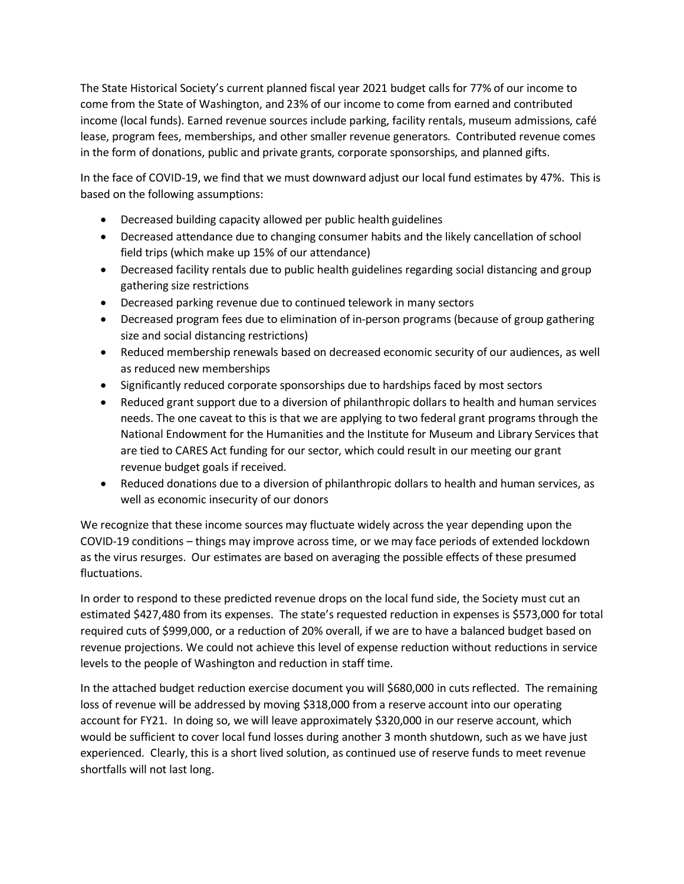The State Historical Society's current planned fiscal year 2021 budget calls for 77% of our income to come from the State of Washington, and 23% of our income to come from earned and contributed income (local funds). Earned revenue sources include parking, facility rentals, museum admissions, café lease, program fees, memberships, and other smaller revenue generators. Contributed revenue comes in the form of donations, public and private grants, corporate sponsorships, and planned gifts.

In the face of COVID-19, we find that we must downward adjust our local fund estimates by 47%. This is based on the following assumptions:

- Decreased building capacity allowed per public health guidelines
- Decreased attendance due to changing consumer habits and the likely cancellation of school field trips (which make up 15% of our attendance)
- Decreased facility rentals due to public health guidelines regarding social distancing and group gathering size restrictions
- Decreased parking revenue due to continued telework in many sectors
- Decreased program fees due to elimination of in-person programs (because of group gathering size and social distancing restrictions)
- Reduced membership renewals based on decreased economic security of our audiences, as well as reduced new memberships
- Significantly reduced corporate sponsorships due to hardships faced by most sectors
- Reduced grant support due to a diversion of philanthropic dollars to health and human services needs. The one caveat to this is that we are applying to two federal grant programs through the National Endowment for the Humanities and the Institute for Museum and Library Services that are tied to CARES Act funding for our sector, which could result in our meeting our grant revenue budget goals if received.
- Reduced donations due to a diversion of philanthropic dollars to health and human services, as well as economic insecurity of our donors

We recognize that these income sources may fluctuate widely across the year depending upon the COVID-19 conditions – things may improve across time, or we may face periods of extended lockdown as the virus resurges. Our estimates are based on averaging the possible effects of these presumed fluctuations.

In order to respond to these predicted revenue drops on the local fund side, the Society must cut an estimated \$427,480 from its expenses. The state's requested reduction in expenses is \$573,000 for total required cuts of \$999,000, or a reduction of 20% overall, if we are to have a balanced budget based on revenue projections. We could not achieve this level of expense reduction without reductions in service levels to the people of Washington and reduction in staff time.

In the attached budget reduction exercise document you will \$680,000 in cuts reflected. The remaining loss of revenue will be addressed by moving \$318,000 from a reserve account into our operating account for FY21. In doing so, we will leave approximately \$320,000 in our reserve account, which would be sufficient to cover local fund losses during another 3 month shutdown, such as we have just experienced. Clearly, this is a short lived solution, as continued use of reserve funds to meet revenue shortfalls will not last long.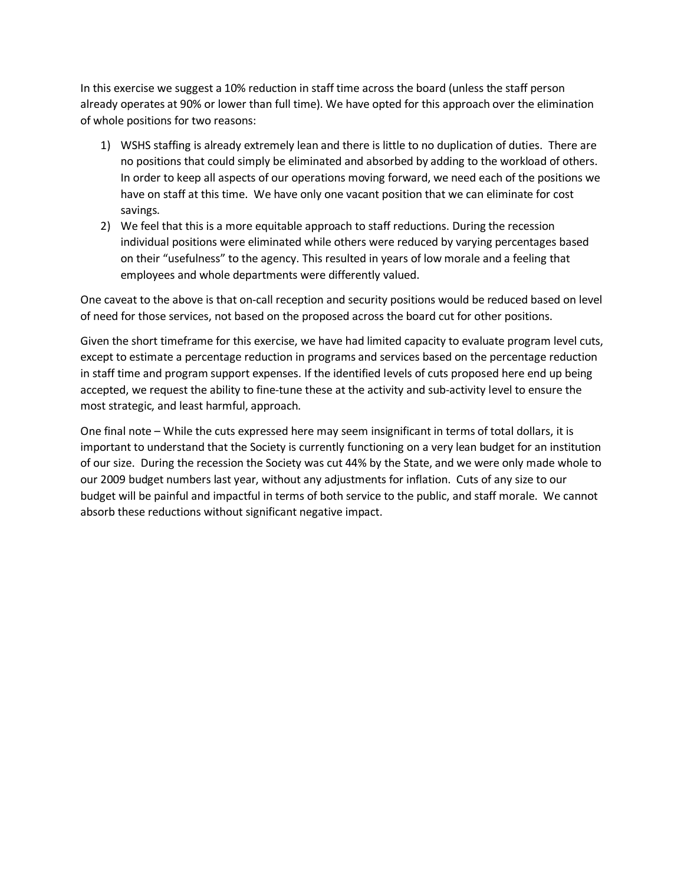In this exercise we suggest a 10% reduction in staff time across the board (unless the staff person already operates at 90% or lower than full time). We have opted for this approach over the elimination of whole positions for two reasons:

- 1) WSHS staffing is already extremely lean and there is little to no duplication of duties. There are no positions that could simply be eliminated and absorbed by adding to the workload of others. In order to keep all aspects of our operations moving forward, we need each of the positions we have on staff at this time. We have only one vacant position that we can eliminate for cost savings.
- 2) We feel that this is a more equitable approach to staff reductions. During the recession individual positions were eliminated while others were reduced by varying percentages based on their "usefulness" to the agency. This resulted in years of low morale and a feeling that employees and whole departments were differently valued.

One caveat to the above is that on-call reception and security positions would be reduced based on level of need for those services, not based on the proposed across the board cut for other positions.

Given the short timeframe for this exercise, we have had limited capacity to evaluate program level cuts, except to estimate a percentage reduction in programs and services based on the percentage reduction in staff time and program support expenses. If the identified levels of cuts proposed here end up being accepted, we request the ability to fine-tune these at the activity and sub-activity level to ensure the most strategic, and least harmful, approach.

One final note – While the cuts expressed here may seem insignificant in terms of total dollars, it is important to understand that the Society is currently functioning on a very lean budget for an institution of our size. During the recession the Society was cut 44% by the State, and we were only made whole to our 2009 budget numbers last year, without any adjustments for inflation. Cuts of any size to our budget will be painful and impactful in terms of both service to the public, and staff morale. We cannot absorb these reductions without significant negative impact.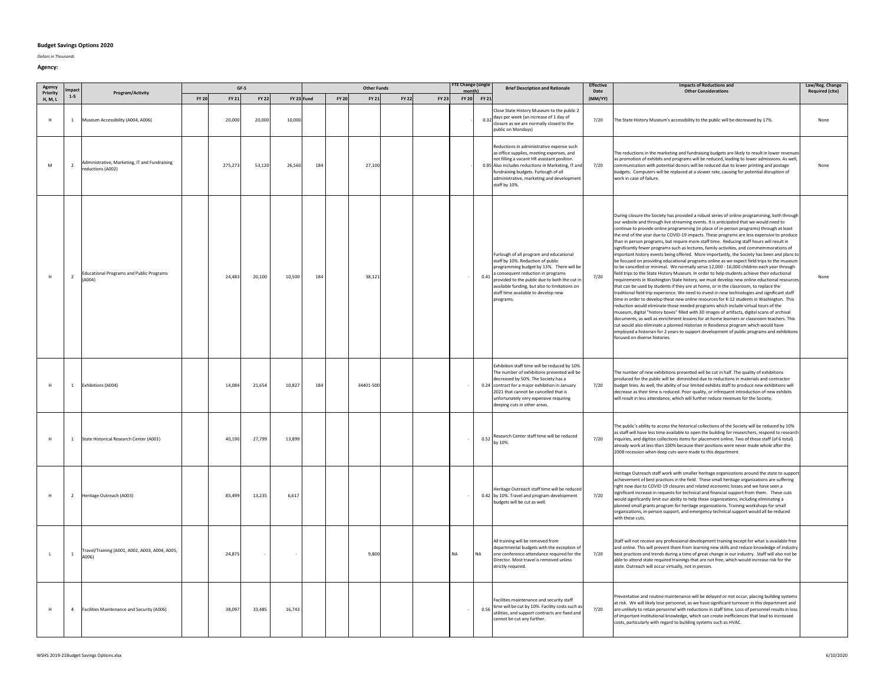## **Budget Savings Options 2020**

*Dollars in Thousands*

| Agency<br>mpac<br>Priority |                |                                                                    | GF-S<br><b>Other Funds</b> |         |              |            |     |                       |                       | FTE Change (single<br>month) |             | <b>Brief Description and Rationale</b>                                                                                                                                                                                                                                                                                    | <b>Effective</b><br>Date | <b>Impacts of Reductions and</b><br><b>Other Considerations</b>                                                                                                                                                                                                                                                                                                                                                                                                                                                                                                                                                                                                                                                                                                                                                                                                                                                                                                                                                                                                                                                                                                                                                                                                                                                                                                                                                                                                                                                                                                                                                                                                                                                                                                                                                                                               | Law/Reg. Change<br><b>Required (cite)</b> |
|----------------------------|----------------|--------------------------------------------------------------------|----------------------------|---------|--------------|------------|-----|-----------------------|-----------------------|------------------------------|-------------|---------------------------------------------------------------------------------------------------------------------------------------------------------------------------------------------------------------------------------------------------------------------------------------------------------------------------|--------------------------|---------------------------------------------------------------------------------------------------------------------------------------------------------------------------------------------------------------------------------------------------------------------------------------------------------------------------------------------------------------------------------------------------------------------------------------------------------------------------------------------------------------------------------------------------------------------------------------------------------------------------------------------------------------------------------------------------------------------------------------------------------------------------------------------------------------------------------------------------------------------------------------------------------------------------------------------------------------------------------------------------------------------------------------------------------------------------------------------------------------------------------------------------------------------------------------------------------------------------------------------------------------------------------------------------------------------------------------------------------------------------------------------------------------------------------------------------------------------------------------------------------------------------------------------------------------------------------------------------------------------------------------------------------------------------------------------------------------------------------------------------------------------------------------------------------------------------------------------------------------|-------------------------------------------|
| H, M, L                    | $1-5$          | Program/Activity                                                   | <b>FY 20</b>               | FY 21   | <b>FY 22</b> | FY 23 Fund |     | <b>FY 20</b><br>FY 21 | <b>FY 22</b><br>FY 23 |                              | FY 20 FY 21 |                                                                                                                                                                                                                                                                                                                           | (MM/YY)                  |                                                                                                                                                                                                                                                                                                                                                                                                                                                                                                                                                                                                                                                                                                                                                                                                                                                                                                                                                                                                                                                                                                                                                                                                                                                                                                                                                                                                                                                                                                                                                                                                                                                                                                                                                                                                                                                               |                                           |
| H                          | $\mathbf{1}$   | Museum Accessibility (A004, A006)                                  |                            | 20,000  | 20,000       | 10,000     |     |                       |                       |                              |             | Close State History Museum to the public 2<br>0.32 days per week (an increase of 1 day of<br>closure as we are normally closed to the<br>public on Mondays)                                                                                                                                                               | 7/20                     | The State History Museum's accessibility to the public will be decreased by 17%.                                                                                                                                                                                                                                                                                                                                                                                                                                                                                                                                                                                                                                                                                                                                                                                                                                                                                                                                                                                                                                                                                                                                                                                                                                                                                                                                                                                                                                                                                                                                                                                                                                                                                                                                                                              | None                                      |
| ${\sf M}$                  | $\overline{2}$ | Administrative, Marketing, IT and Fundraising<br>reductions (A002) |                            | 275.273 | 53,120       | 26,560     | 184 | 27,100                |                       |                              |             | Reductions in administrative expense such<br>as office supplies, meeting expenses, and<br>not filling a vacant HR assistant position.<br>0.95 Also includes reductions in Marketing, IT and<br>fundraising budgets. Furlough of all<br>administrative, marketing and development<br>staff by 10%.                         | 7/20                     | The reductions in the marketing and fundraising budgets are likely to result in lower revenue<br>as promotion of exhibits and programs will be reduced, leading to lower admissions. As well,<br>communication with potential donors will be reduced due to lower printing and postage<br>budgets. Computers will be replaced at a slower rate, causing for potential disruption of<br>work in case of failure.                                                                                                                                                                                                                                                                                                                                                                                                                                                                                                                                                                                                                                                                                                                                                                                                                                                                                                                                                                                                                                                                                                                                                                                                                                                                                                                                                                                                                                               | None                                      |
| H                          | 2              | <b>Educational Programs and Public Programs</b><br>(A004)          |                            | 24.483  | 20,100       | 10,500     | 184 | 38.121                |                       |                              |             | Furlough of all program and educational<br>staff by 10%. Reduction of public<br>programming budget by 13%. There will be<br>0.41 a consequent reduction in programs<br>provided to the public due to both the cut in<br>available funding, but also to limitations on<br>staff time available to develop new<br>programs. | 7/20                     | During closure the Society has provided a robust series of online programming, both through<br>our website and through live streaming events. It is anticipated that we would need to<br>continue to provide online programming (in place of in-person programs) through at least<br>the end of the year due to COVID-19 impacts. These programs are less expensive to produce<br>than in person programs, but require more staff time. Reducing staff hours will result in<br>significantly fewer programs such as lectures, family activities, and commemmorations of<br>important history events being offered. More importantly, the Society has been and plans to<br>be focused on providing educational programs online as we expect field trips to the museum<br>to be cancelled or minimal. We normally serve 12,000 - 16,000 children each year through<br>field trips to the State History Museum. In order to help students achieve their eductional<br>requirements in Washington State history, we must develop new online eductional resources<br>that can be used by students if they are at home, or in the classroom, to replace the<br>traditional field trip experience. We need to invest in new technologies and significant staff<br>time in order to develop these new online resources for K-12 students in Washington. This<br>reduction would eliminate those needed programs which include virtual tours of the<br>museum, digital "history boxes" filled with 3D images of artifacts, digital scans of archival<br>documents, as well as enrichment lessons for at-home learners or classroom teachers. This<br>cut would also eliminate a planned Historian in Residence program which would have<br>employed a historian for 2 years to support development of public programs and exhibitions<br>focused on diverse histories. | None                                      |
|                            | $\mathbf{1}$   | Exhibitions (A004)                                                 |                            | 14,084  | 21,654       | 10,827     | 184 | 34401-500             |                       |                              |             | Exhibition staff time will be reduced by 10%<br>The number of exhibitions presented will be<br>decreased by 50%. The Society has a<br>0.24 contract for a major exhibition in January<br>2021 that cannot be cancelled that is<br>unfortunately very expensive requiring<br>deeping cuts in other areas.                  | 7/20                     | The number of new exhibitions presented will be cut in half. The quality of exhibitions<br>produced for the public will be diminished due to reductions in materials and contractor<br>budget lines. As well, the ability of our limited exhibits staff to produce new exhibitions will<br>decrease as their time is reduced. Poor quality, or infrequent introduction of new exhibits<br>will result in less attendance, which will further reduce revenues for the Society.                                                                                                                                                                                                                                                                                                                                                                                                                                                                                                                                                                                                                                                                                                                                                                                                                                                                                                                                                                                                                                                                                                                                                                                                                                                                                                                                                                                 |                                           |
|                            | $\overline{1}$ | State Historical Research Center (A001)                            |                            | 40.190  | 27.799       | 13,899     |     |                       |                       |                              |             | Research Center staff time will be reduced<br>$0.52\int_{\frac{b}{2}}^{b_{max}} 10\%$ .                                                                                                                                                                                                                                   | 7/20                     | The public's ability to access the historical collections of the Society will be reduced by 10%<br>as staff will have less time available to open the building for researchers, respond to research<br>inquiries, and digitize collections items for placement online. Two of these staff (of 6 total)<br>already work at less than 100% because their positions were never made whole after the<br>2008 recession when deep cuts were made to this department.                                                                                                                                                                                                                                                                                                                                                                                                                                                                                                                                                                                                                                                                                                                                                                                                                                                                                                                                                                                                                                                                                                                                                                                                                                                                                                                                                                                               |                                           |
|                            | <sup>2</sup>   | Heritage Outreach (A003)                                           |                            | 85,499  | 13,235       | 6,617      |     |                       |                       |                              |             | Heritage Outreach staff time will be reduced<br>0.42 by 10%. Travel and program development<br>oudgets will be cut as well.                                                                                                                                                                                               | 7/20                     | Heritage Outreach staff work with smaller heritage organizations around the state to suppor<br>achievement of best practices in the field. These small heritage organizations are suffering<br>right now due to COVID-19 closures and related economic losses and we have seen a<br>significant increase in requests for technical and financial support from them. These cuts<br>would significantly limit our ability to help these organizations, including eliminating a<br>planned small grants program for heritage organizations. Training workshops for small<br>organizations, in-person support, and emergency technical support would all be reduced<br>with these cuts.                                                                                                                                                                                                                                                                                                                                                                                                                                                                                                                                                                                                                                                                                                                                                                                                                                                                                                                                                                                                                                                                                                                                                                           |                                           |
| $\mathsf{L}$               | $\mathbf{1}$   | Travel/Training (A001, A002, A003, A004, A005,<br>A006)            |                            | 24,875  | $\epsilon$   |            |     | 9,800                 |                       | NA                           | NA          | All training will be removed from<br>departmental budgets with the exception of<br>one conference attendance required for the<br>Director. Most travel is removed unless<br>strictly required.                                                                                                                            | 7/20                     | Staff will not receive any professional development training except for what is available free<br>and online. This will prevent them from learning new skills and reduce knowledge of industry<br>best practices and trends during a time of great change in our industry. Staff will also not be<br>able to attend state required trainings that are not free, which would increase risk for the<br>state. Outreach will occur virtually, not in person.                                                                                                                                                                                                                                                                                                                                                                                                                                                                                                                                                                                                                                                                                                                                                                                                                                                                                                                                                                                                                                                                                                                                                                                                                                                                                                                                                                                                     |                                           |
| H                          | $\overline{4}$ | Facilities Maintenance and Security (A006)                         |                            | 38.097  | 33,485       | 16,743     |     |                       |                       |                              | 0.56        | acilities maintenance and security staff<br>time will be cut by 10%. Facility costs such as<br>utilities, and support contracts are fixed and<br>cannot be cut any further.                                                                                                                                               | 7/20                     | Preventative and routine maintenance will be delayed or not occur, placing building systems<br>at risk. We will likely lose personnel, as we have significant turnover in this department and<br>are unlikely to retain personnel with reductions in staff time. Loss of personnel results in loss<br>of important institutional knowledge, which can create inefficiences that lead to increased<br>costs, particularly with regard to building systems such as HVAC.                                                                                                                                                                                                                                                                                                                                                                                                                                                                                                                                                                                                                                                                                                                                                                                                                                                                                                                                                                                                                                                                                                                                                                                                                                                                                                                                                                                        |                                           |